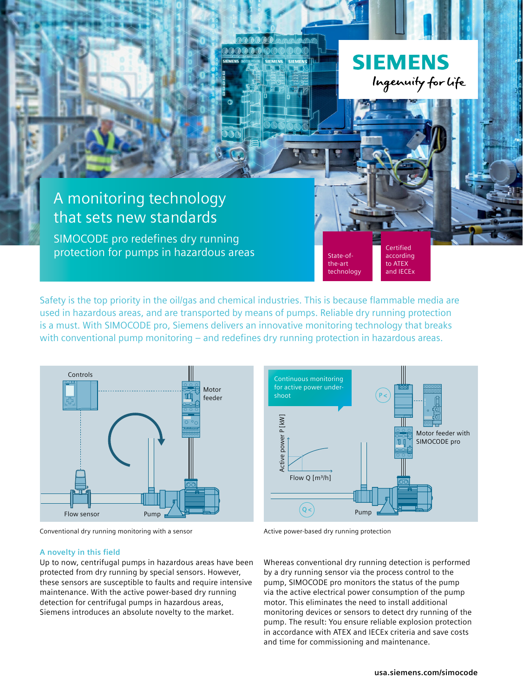

Safety is the top priority in the oil/gas and chemical industries. This is because flammable media are used in hazardous areas, and are transported by means of pumps. Reliable dry running protection is a must. With SIMOCODE pro, Siemens delivers an innovative monitoring technology that breaks with conventional pump monitoring – and redefines dry running protection in hazardous areas.



Conventional dry running monitoring with a sensor

#### **A novelty in this field**

Up to now, centrifugal pumps in hazardous areas have been protected from dry running by special sensors. However, these sensors are susceptible to faults and require intensive maintenance. With the active power-based dry running detection for centrifugal pumps in hazardous areas, Siemens introduces an absolute novelty to the market.



Active power-based dry running protection

Whereas conventional dry running detection is performed by a dry running sensor via the process control to the pump, SIMOCODE pro monitors the status of the pump via the active electrical power consumption of the pump motor. This eliminates the need to install additional monitoring devices or sensors to detect dry running of the pump. The result: You ensure reliable explosion protection in accordance with ATEX and IECEx criteria and save costs and time for commissioning and maintenance.